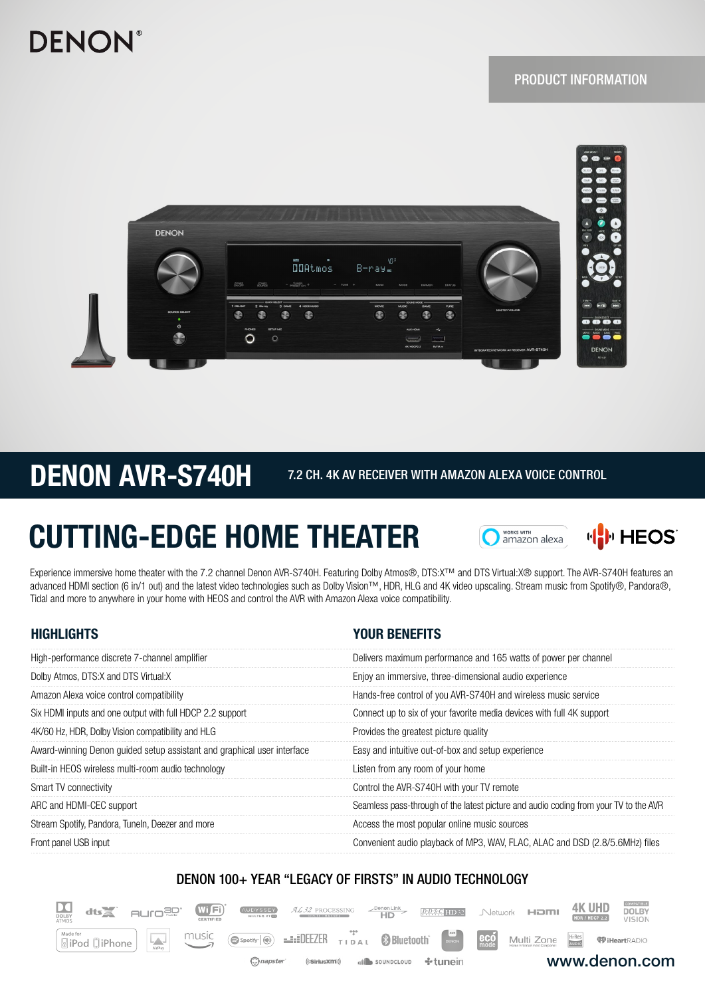## **DENON**

### PRODUCT INFORMATION



## DENON AVR-S740H 7.2 CH. 4K AV RECEIVER WITH AMAZON ALEXA VOICE CONTROL

 $D$ 

 $dts \geq$ 

 $\underbrace{\text{Model for}}$ 

 $HUTO<sup>30</sup>$ 

WIF

 $\bigcirc$  Spotify  $\bigcirc$ 

napster<sup>2</sup>

music

# CUTTING-EDGE HOME THEATER





www.denon.com

**<sup>@D</sup>iHeartRADIO** 

**DOLBY** 

VISION

**4K UHD** 

HDR / HDCP 2.2

Network **HDMI** 

Multi Zone

 $\mathbf{e}\mathbf{c}\mathbf{o}$ 

Experience immersive home theater with the 7.2 channel Denon AVR-S740H. Featuring Dolby Atmos®, DTS:X™ and DTS Virtual:X® support. The AVR-S740H features an advanced HDMI section (6 in/1 out) and the latest video technologies such as Dolby Vision™, HDR, HLG and 4K video upscaling. Stream music from Spotify®, Pandora®, Tidal and more to anywhere in your home with HEOS and control the AVR with Amazon Alexa voice compatibility.

| <b>HIGHLIGHTS</b>                                                       | <b>YOUR BENEFITS</b>                                                                 |
|-------------------------------------------------------------------------|--------------------------------------------------------------------------------------|
| High-performance discrete 7-channel amplifier                           | Delivers maximum performance and 165 watts of power per channel                      |
| Dolby Atmos, DTS:X and DTS Virtual:X                                    | Enjoy an immersive, three-dimensional audio experience                               |
| Amazon Alexa voice control compatibility                                | Hands-free control of you AVR-S740H and wireless music service                       |
| Six HDMI inputs and one output with full HDCP 2.2 support               | Connect up to six of your favorite media devices with full 4K support                |
| 4K/60 Hz, HDR, Dolby Vision compatibility and HLG                       | Provides the greatest picture quality                                                |
| Award-winning Denon guided setup assistant and graphical user interface | Easy and intuitive out-of-box and setup experience                                   |
| Built-in HEOS wireless multi-room audio technology                      | Listen from any room of your home                                                    |
| Smart TV connectivity                                                   | Control the AVR-S740H with your TV remote                                            |
| ARC and HDMI-CEC support                                                | Seamless pass-through of the latest picture and audio coding from your TV to the AVR |
| Stream Spotify, Pandora, Tuneln, Deezer and more                        | Access the most popular online music sources                                         |
| Front panel USB input                                                   | Convenient audio playback of MP3, WAV, FLAC, ALAC and DSD (2.8/5.6MHz) files         |

### DENON 100+ YEAR "LEGACY OF FIRSTS" IN AUDIO TECHNOLOGY

TIDAL

32 PROCESSIN

 $((SiriusXIII))$ 

**EXAMPLE** 

 $\overline{\mathsf{HD}^*}$ 

soundcloup

**B** Bluetooth

**DDSC** HD32

÷ tunein